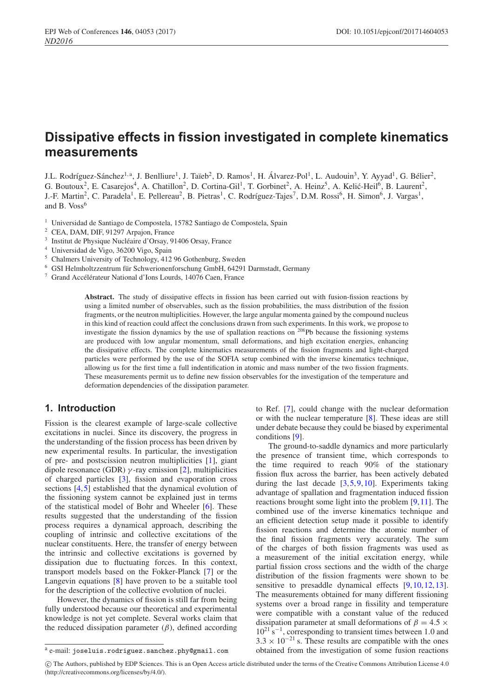# **Dissipative effects in fission investigated in complete kinematics measurements**

J.L. Rodríguez-Sánchez<sup>1,a</sup>, J. Benlliure<sup>1</sup>, J. Taïeb<sup>2</sup>, D. Ramos<sup>1</sup>, H. Álvarez-Pol<sup>1</sup>, L. Audouin<sup>3</sup>, Y. Ayyad<sup>1</sup>, G. Bélier<sup>2</sup>, G. Boutoux<sup>2</sup>, E. Casarejos<sup>4</sup>, A. Chatillon<sup>2</sup>, D. Cortina-Gil<sup>1</sup>, T. Gorbinet<sup>2</sup>, A. Heinz<sup>5</sup>, A. Kelić-Heil<sup>6</sup>, B. Laurent<sup>2</sup>, J.-F. Martin<sup>2</sup>, C. Paradela<sup>1</sup>, E. Pellereau<sup>2</sup>, B. Pietras<sup>1</sup>, C. Rodríguez-Tajes<sup>7</sup>, D.M. Rossi<sup>6</sup>, H. Simon<sup>6</sup>, J. Vargas<sup>1</sup>, and B. Voss<sup>6</sup>

<sup>1</sup> Universidad de Santiago de Compostela, 15782 Santiago de Compostela, Spain

<sup>3</sup> Institut de Physique Nucléaire d'Orsay, 91406 Orsay, France

- <sup>4</sup> Universidad de Vigo, 36200 Vigo, Spain
- <sup>5</sup> Chalmers University of Technology, 412 96 Gothenburg, Sweden
- $6$  GSI Helmholtzzentrum für Schwerionenforschung GmbH, 64291 Darmstadt, Germany

 $7$  Grand Accélérateur National d'Ions Lourds, 14076 Caen, France

**Abstract.** The study of dissipative effects in fission has been carried out with fusion-fission reactions by using a limited number of observables, such as the fission probabilities, the mass distribution of the fission fragments, or the neutron multiplicities. However, the large angular momenta gained by the compound nucleus in this kind of reaction could affect the conclusions drawn from such experiments. In this work, we propose to investigate the fission dynamics by the use of spallation reactions on <sup>208</sup>Pb because the fissioning systems are produced with low angular momentum, small deformations, and high excitation energies, enhancing the dissipative effects. The complete kinematics measurements of the fission fragments and light-charged particles were performed by the use of the SOFIA setup combined with the inverse kinematics technique, allowing us for the first time a full indentification in atomic and mass number of the two fission fragments. These measurements permit us to define new fission observables for the investigation of the temperature and deformation dependencies of the dissipation parameter.

### **1. Introduction**

Fission is the clearest example of large-scale collective excitations in nuclei. Since its discovery, the progress in the understanding of the fission process has been driven by new experimental results. In particular, the investigation of pre- and postscission neutron multiplicities [\[1\]](#page-3-0), giant dipole resonance (GDR)  $\gamma$ -ray emission [\[2](#page-3-1)], multiplicities of charged particles [\[3\]](#page-3-2), fission and evaporation cross sections [\[4,](#page-3-3)[5](#page-3-4)] established that the dynamical evolution of the fissioning system cannot be explained just in terms of the statistical model of Bohr and Wheeler [\[6\]](#page-3-5). These results suggested that the understanding of the fission process requires a dynamical approach, describing the coupling of intrinsic and collective excitations of the nuclear constituents. Here, the transfer of energy between the intrinsic and collective excitations is governed by dissipation due to fluctuating forces. In this context, transport models based on the Fokker-Planck [\[7](#page-3-6)] or the Langevin equations [\[8\]](#page-3-7) have proven to be a suitable tool for the description of the collective evolution of nuclei.

However, the dynamics of fission is still far from being fully understood because our theoretical and experimental knowledge is not yet complete. Several works claim that the reduced dissipation parameter  $(\beta)$ , defined according to Ref. [\[7\]](#page-3-6), could change with the nuclear deformation or with the nuclear temperature [\[8\]](#page-3-7). These ideas are still under debate because they could be biased by experimental conditions [\[9](#page-3-8)].

The ground-to-saddle dynamics and more particularly the presence of transient time, which corresponds to the time required to reach 90% of the stationary fission flux across the barrier, has been actively debated during the last decade  $[3,5,9,10]$  $[3,5,9,10]$  $[3,5,9,10]$  $[3,5,9,10]$  $[3,5,9,10]$  $[3,5,9,10]$ . Experiments taking advantage of spallation and fragmentation induced fission reactions brought some light into the problem [\[9,](#page-3-8)[11](#page-3-10)]. The combined use of the inverse kinematics technique and an efficient detection setup made it possible to identify fission reactions and determine the atomic number of the final fission fragments very accurately. The sum of the charges of both fission fragments was used as a measurement of the initial excitation energy, while partial fission cross sections and the width of the charge distribution of the fission fragments were shown to be sensitive to presaddle dynamical effects  $[9,10,12,13]$  $[9,10,12,13]$  $[9,10,12,13]$  $[9,10,12,13]$  $[9,10,12,13]$  $[9,10,12,13]$ . The measurements obtained for many different fissioning systems over a broad range in fissility and temperature were compatible with a constant value of the reduced dissipation parameter at small deformations of  $\beta = 4.5 \times$ 10<sup>21</sup> s<sup>−1</sup>, corresponding to transient times between 1.0 and  $3.3 \times 10^{-21}$  s. These results are compatible with the ones obtained from the investigation of some fusion reactions

c The Authors, published by EDP Sciences. This is an Open Access article distributed under the terms of the Creative Commons Attribution License 4.0 (http://creativecommons.org/licenses/by/4.0/).

<sup>2</sup> CEA, DAM, DIF, 91297 Arpajon, France

<sup>a</sup> e-mail: joseluis.rodriguez.sanchez.phy@gmail.com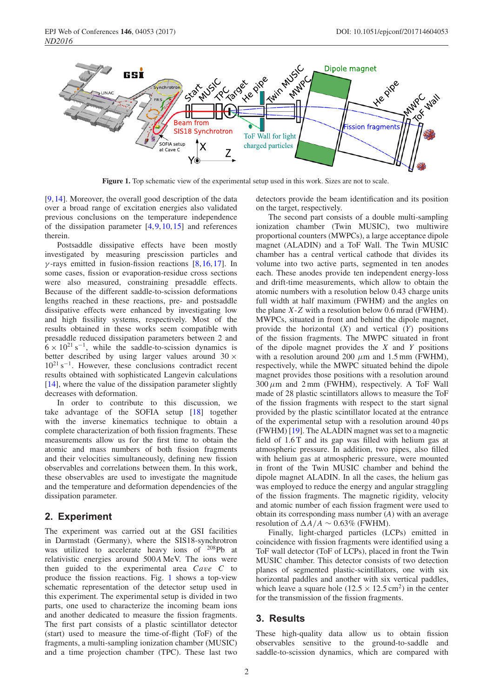

<span id="page-1-0"></span>**Figure 1.** Top schematic view of the experimental setup used in this work. Sizes are not to scale.

[\[9](#page-3-8),[14\]](#page-3-13). Moreover, the overall good description of the data over a broad range of excitation energies also validated previous conclusions on the temperature independence of the dissipation parameter  $[4,9,10,15]$  $[4,9,10,15]$  $[4,9,10,15]$  $[4,9,10,15]$  $[4,9,10,15]$  $[4,9,10,15]$  and references therein.

Postsaddle dissipative effects have been mostly investigated by measuring prescission particles and  $\gamma$ -rays emitted in fusion-fission reactions [\[8,](#page-3-7)[16](#page-3-15)[,17](#page-3-16)]. In some cases, fission or evaporation-residue cross sections were also measured, constraining presaddle effects. Because of the different saddle-to-scission deformations lengths reached in these reactions, pre- and postsaddle dissipative effects were enhanced by investigating low and high fissility systems, respectively. Most of the results obtained in these works seem compatible with presaddle reduced dissipation parameters between 2 and  $6 \times 10^{21}$  s<sup>-1</sup>, while the saddle-to-scission dynamics is better described by using larger values around  $30 \times$ 1021 s−1. However, these conclusions contradict recent results obtained with sophisticated Langevin calculations [\[14](#page-3-13)], where the value of the dissipation parameter slightly decreases with deformation.

In order to contribute to this discussion, we take advantage of the SOFIA setup [\[18](#page-3-17)] together with the inverse kinematics technique to obtain a complete characterization of both fission fragments. These measurements allow us for the first time to obtain the atomic and mass numbers of both fission fragments and their velocities simultaneously, defining new fission observables and correlations between them. In this work, these observables are used to investigate the magnitude and the temperature and deformation dependencies of the dissipation parameter.

#### **2. Experiment**

The experiment was carried out at the GSI facilities in Darmstadt (Germany), where the SIS18-synchrotron was utilized to accelerate heavy ions of <sup>208</sup>Pb at relativistic energies around 500*A* MeV. The ions were then guided to the experimental area *Ca*v*e C* to produce the fission reactions. Fig. [1](#page-1-0) shows a top-view schematic representation of the detector setup used in this experiment. The experimental setup is divided in two parts, one used to characterize the incoming beam ions and another dedicated to measure the fission fragments. The first part consists of a plastic scintillator detector (start) used to measure the time-of-flight (ToF) of the fragments, a multi-sampling ionization chamber (MUSIC) and a time projection chamber (TPC). These last two detectors provide the beam identification and its position on the target, respectively.

The second part consists of a double multi-sampling ionization chamber (Twin MUSIC), two multiwire proportional counters (MWPCs), a large acceptance dipole magnet (ALADIN) and a ToF Wall. The Twin MUSIC chamber has a central vertical cathode that divides its volume into two active parts, segmented in ten anodes each. These anodes provide ten independent energy-loss and drift-time measurements, which allow to obtain the atomic numbers with a resolution below 0.43 charge units full width at half maximum (FWHM) and the angles on the plane *X*-*Z* with a resolution below 0.6 mrad (FWHM). MWPCs, situated in front and behind the dipole magnet, provide the horizontal (*X*) and vertical (*Y*) positions of the fission fragments. The MWPC situated in front of the dipole magnet provides the *X* and *Y* positions with a resolution around 200  $\mu$ m and 1.5 mm (FWHM), respectively, while the MWPC situated behind the dipole magnet provides those positions with a resolution around  $300 \mu m$  and  $2 \text{ mm}$  (FWHM), respectively. A ToF Wall made of 28 plastic scintillators allows to measure the ToF of the fission fragments with respect to the start signal provided by the plastic scintillator located at the entrance of the experimental setup with a resolution around 40 ps (FWHM) [\[19\]](#page-3-18). The ALADIN magnet was set to a magnetic field of 1.6 T and its gap was filled with helium gas at atmospheric pressure. In addition, two pipes, also filled with helium gas at atmospheric pressure, were mounted in front of the Twin MUSIC chamber and behind the dipole magnet ALADIN. In all the cases, the helium gas was employed to reduce the energy and angular straggling of the fission fragments. The magnetic rigidity, velocity and atomic number of each fission fragment were used to obtain its corresponding mass number (*A*) with an average resolution of  $\Delta A/A \sim 0.63\%$  (FWHM).

Finally, light-charged particles (LCPs) emitted in coincidence with fission fragments were identified using a ToF wall detector (ToF of LCPs), placed in front the Twin MUSIC chamber. This detector consists of two detection planes of segmented plastic-scintillators, one with six horizontal paddles and another with six vertical paddles, which leave a square hole ( $12.5 \times 12.5 \text{ cm}^2$ ) in the center for the transmission of the fission fragments.

#### **3. Results**

These high-quality data allow us to obtain fission observables sensitive to the ground-to-saddle and saddle-to-scission dynamics, which are compared with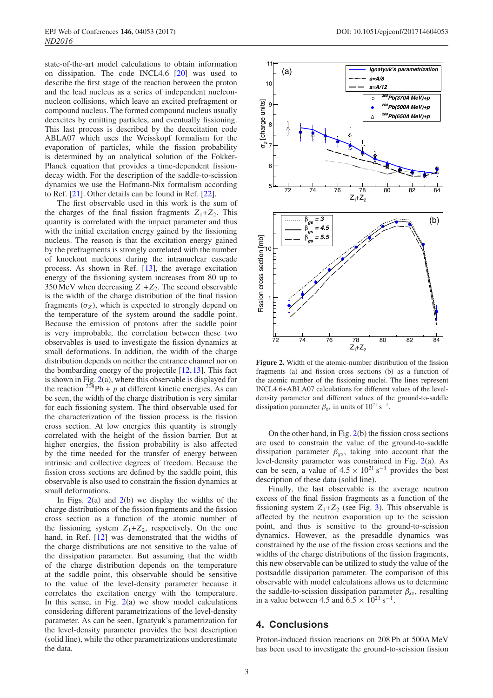state-of-the-art model calculations to obtain information on dissipation. The code INCL4.6 [\[20](#page-3-19)] was used to describe the first stage of the reaction between the proton and the lead nucleus as a series of independent nucleonnucleon collisions, which leave an excited prefragment or compound nucleus. The formed compound nucleus usually deexcites by emitting particles, and eventually fissioning. This last process is described by the deexcitation code ABLA07 which uses the Weisskopf formalism for the evaporation of particles, while the fission probability is determined by an analytical solution of the Fokker-Planck equation that provides a time-dependent fissiondecay width. For the description of the saddle-to-scission dynamics we use the Hofmann-Nix formalism according to Ref. [\[21\]](#page-3-20). Other details can be found in Ref. [\[22\]](#page-3-21).

The first observable used in this work is the sum of the charges of the final fission fragments  $Z_1 + Z_2$ . This quantity is correlated with the impact parameter and thus with the initial excitation energy gained by the fissioning nucleus. The reason is that the excitation energy gained by the prefragments is strongly correlated with the number of knockout nucleons during the intranuclear cascade process. As shown in Ref. [\[13\]](#page-3-12), the average excitation energy of the fissioning system increases from 80 up to 350 MeV when decreasing  $Z_1 + Z_2$ . The second observable is the width of the charge distribution of the final fission fragments  $(\sigma_Z)$ , which is expected to strongly depend on the temperature of the system around the saddle point. Because the emission of protons after the saddle point is very improbable, the correlation between these two observables is used to investigate the fission dynamics at small deformations. In addition, the width of the charge distribution depends on neither the entrance channel nor on the bombarding energy of the projectile [\[12](#page-3-11),[13\]](#page-3-12). This fact is shown in Fig.  $2(a)$  $2(a)$ , where this observable is displayed for the reaction  $208Pb + p$  at different kinetic energies. As can be seen, the width of the charge distribution is very similar for each fissioning system. The third observable used for the characterization of the fission process is the fission cross section. At low energies this quantity is strongly correlated with the height of the fission barrier. But at higher energies, the fission probability is also affected by the time needed for the transfer of energy between intrinsic and collective degrees of freedom. Because the fission cross sections are defined by the saddle point, this observable is also used to constrain the fission dynamics at small deformations.

In Figs.  $2(a)$  $2(a)$  and  $2(b)$  we display the widths of the charge distributions of the fission fragments and the fission cross section as a function of the atomic number of the fissioning system  $Z_1+Z_2$ , respectively. On the one hand, in Ref. [\[12\]](#page-3-11) was demonstrated that the widths of the charge distributions are not sensitive to the value of the dissipation parameter. But assuming that the width of the charge distribution depends on the temperature at the saddle point, this observable should be sensitive to the value of the level-density parameter because it correlates the excitation energy with the temperature. In this sense, in Fig.  $2(a)$  $2(a)$  we show model calculations considering different parametrizations of the level-density parameter. As can be seen, Ignatyuk's parametrization for the level-density parameter provides the best description (solid line), while the other parametrizations underestimate the data.

<span id="page-2-0"></span>

**Figure 2.** Width of the atomic-number distribution of the fission fragments (a) and fission cross sections (b) as a function of the atomic number of the fissioning nuclei. The lines represent INCL4.6+ABLA07 calculations for different values of the leveldensity parameter and different values of the ground-to-saddle dissipation parameter  $\beta_{gs}$  in units of 10<sup>21</sup> s<sup>-1</sup>.

On the other hand, in Fig. [2\(](#page-2-0)b) the fission cross sections are used to constrain the value of the ground-to-saddle dissipation parameter  $\beta_{gs}$ , taking into account that the level-density parameter was constrained in Fig. [2\(](#page-2-0)a). As can be seen, a value of  $4.5 \times 10^{21}$  s<sup>-1</sup> provides the best description of these data (solid line).

Finally, the last observable is the average neutron excess of the final fission fragments as a function of the fissioning system  $Z_1+Z_2$  (see Fig. [3\)](#page-3-22). This observable is affected by the neutron evaporation up to the scission point, and thus is sensitive to the ground-to-scission dynamics. However, as the presaddle dynamics was constrained by the use of the fission cross sections and the widths of the charge distributions of the fission fragments, this new observable can be utilized to study the value of the postsaddle dissipation parameter. The comparison of this observable with model calculations allows us to determine the saddle-to-scission dissipation parameter  $\beta_{ss}$ , resulting in a value between 4.5 and  $6.5 \times 10^{21}$  s<sup>-1</sup>.

## **4. Conclusions**

Proton-induced fission reactions on 208 Pb at 500A MeV has been used to investigate the ground-to-scission fission